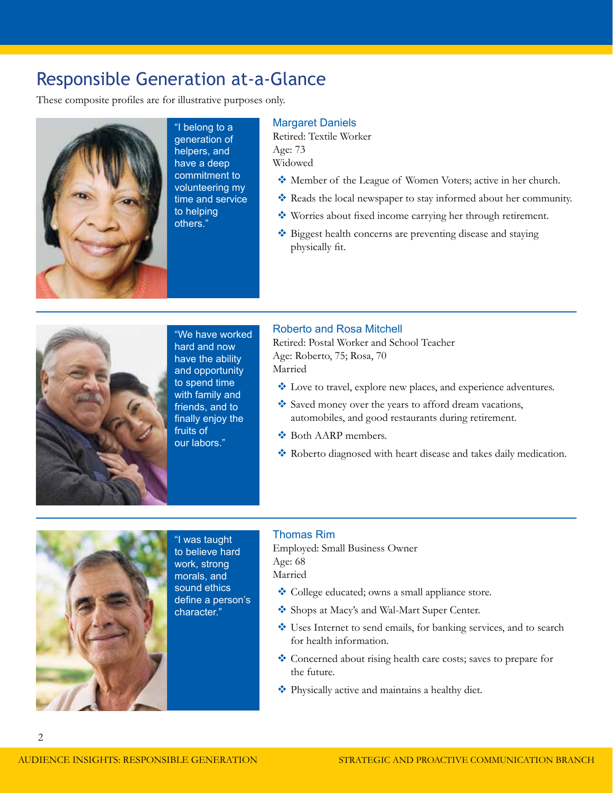#### Responsible Generation at-a-Glance

These composite profiles are for illustrative purposes only.



"I belong to a generation of helpers, and have a deep commitment to volunteering my time and service to helping others."

#### **Margaret Daniels**

Retired: Textile Worker Age: 73 Widowed

- Member of the League of Women Voters; active in her church.
- Reads the local newspaper to stay informed about her community.
- Worries about fixed income carrying her through retirement.
- ◆ Biggest health concerns are preventing disease and staying physically fit.



"We have worked hard and now have the ability and opportunity to spend time with family and friends, and to finally enjoy the fruits of our labors."

#### Roberto and Rosa Mitchell

Retired: Postal Worker and School Teacher Age: Roberto, 75; Rosa, 70 Married

- $\triangleq$  Love to travel, explore new places, and experience adventures.
- Saved money over the years to afford dream vacations, automobiles, and good restaurants during retirement.
- ◆ Both AARP members.
- \* Roberto diagnosed with heart disease and takes daily medication.



2

"I was taught to believe hard work, strong morals, and sound ethics define a person's character."

#### Thomas Rim

Employed: Small Business Owner Age: 68 Married

- College educated; owns a small appliance store.
- Shops at Macy's and Wal-Mart Super Center.
- Uses Internet to send emails, for banking services, and to search for health information.
- Concerned about rising health care costs; saves to prepare for the future.
- Physically active and maintains a healthy diet.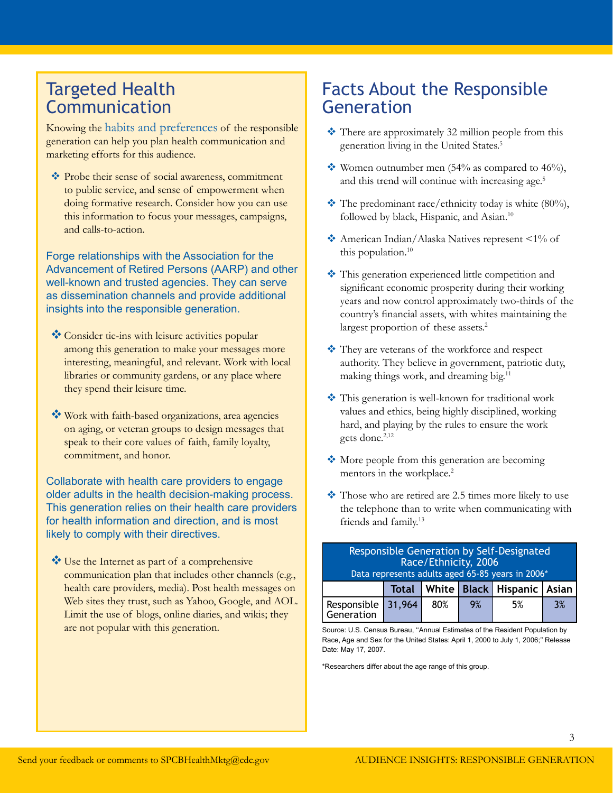#### Targeted Health Communication

Knowing the habits and preferences of the responsible generation can help you plan health communication and marketing efforts for this audience.

 Probe their sense of social awareness, commitment to public service, and sense of empowerment when doing formative research. Consider how you can use this information to focus your messages, campaigns, and calls-to-action.

Forge relationships with the Association for the Advancement of Retired Persons (AARP) and other well-known and trusted agencies. They can serve as dissemination channels and provide additional insights into the responsible generation.

- Consider tie-ins with leisure activities popular among this generation to make your messages more interesting, meaningful, and relevant. Work with local libraries or community gardens, or any place where they spend their leisure time.
- Work with faith-based organizations, area agencies on aging, or veteran groups to design messages that speak to their core values of faith, family loyalty, commitment, and honor.

Collaborate with health care providers to engage older adults in the health decision-making process. This generation relies on their health care providers for health information and direction, and is most likely to comply with their directives.

Use the Internet as part of a comprehensive communication plan that includes other channels (e.g., health care providers, media). Post health messages on Web sites they trust, such as Yahoo, Google, and AOL. Limit the use of blogs, online diaries, and wikis; they are not popular with this generation.

### Facts About the Responsible Generation

- There are approximately 32 million people from this generation living in the United States[.5](#page-6-0)
- Women outnumber men  $(54\%$  as compared to  $46\%$ ), and this trend will continue with increasing age.<sup>[5](#page-6-0)</sup>
- $\cdot$  The predominant race/ethnicity today is white (80%), followed by black, Hispanic, and Asian.<sup>10</sup>
- American Indian/Alaska Natives represent <1% of this population.<sup>[10](#page-6-0)</sup>
- $\cdot \cdot$  This generation experienced little competition and significant economic prosperity during their working years and now control approximately two-thirds of the country's financial assets, with whites maintaining the largest proportion of these assets.<sup>2</sup>
- They are veterans of the workforce and respect authority. They believe in government, patriotic duty, making things work, and dreaming big.[11](#page-6-0)
- This generation is well-known for traditional work values and ethics, being highly disciplined, working hard, and playing by the rules to ensure the work gets done.<sup>2,12</sup>
- More people from this generation are becoming mentors in the workplace.<sup>2</sup>
- Those who are retired are 2.5 times more likely to use the telephone than to write when communicating with friends and family[.13](#page-6-0)

| Responsible Generation by Self-Designated<br>Race/Ethnicity, 2006<br>Data represents adults aged 65-85 years in 2006* |       |     |    |                                  |    |
|-----------------------------------------------------------------------------------------------------------------------|-------|-----|----|----------------------------------|----|
|                                                                                                                       | Total |     |    | White   Black   Hispanic   Asian |    |
| Responsible 31,964                                                                                                    |       | 80% | 9% | 5%                               | 3% |

Source: U.S. Census Bureau, ''Annual Estimates of the Resident Population by Race, Age and Sex for the United States: April 1, 2000 to July 1, 2006;'' Release Date: May 17, 2007.

\*Researchers differ about the age range of this group.

3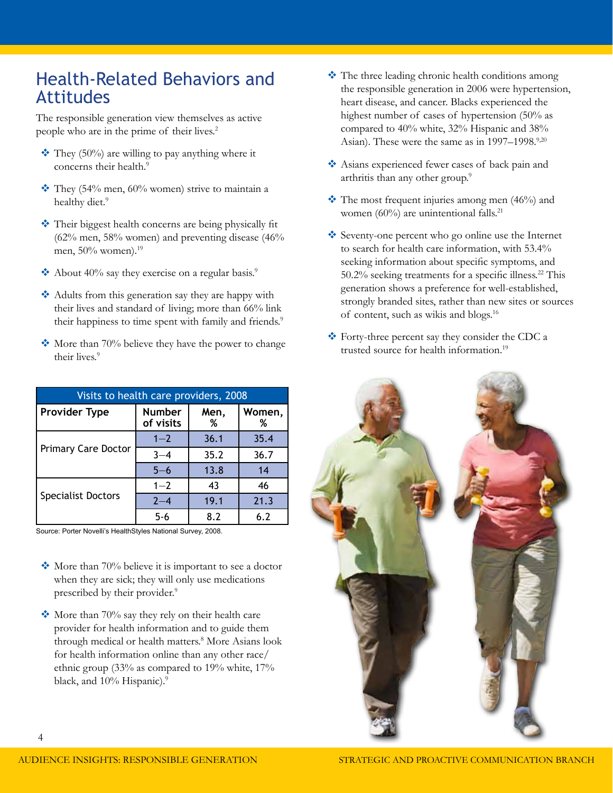#### Health-Related Behaviors and Attitudes

The responsible generation view themselves as active people who are in the prime of their lives.<sup>[2](#page-6-0)</sup>

- $\cdot$  They (50%) are willing to pay anything where it concerns their health.<sup>[9](#page-6-0)</sup>
- $\cdot$  They (54% men, 60% women) strive to maintain a healthy diet.<sup>9</sup>
- ◆ Their biggest health concerns are being physically fit  $(62\%$  men, 58% women) and preventing disease  $(46\%$ men, 50% women).<sup>[19](#page-6-0)</sup>
- About 40% say they exercise on a regular basis.<sup>9</sup>
- Adults from this generation say they are happy with their lives and standard of living; more than 66% link their happiness to time spent with family and friends.<sup>9</sup>
- $\bullet$  More than 70% believe they have the power to change their lives.<sup>[9](#page-6-0)</sup>

| Visits to health care providers, 2008 |                            |           |             |  |  |
|---------------------------------------|----------------------------|-----------|-------------|--|--|
| <b>Provider Type</b>                  | <b>Number</b><br>of visits | Men,<br>% | Women,<br>% |  |  |
|                                       | $1 - 2$                    | 36.1      | 35.4        |  |  |
| <b>Primary Care Doctor</b>            | $3 - 4$                    | 35.2      | 36.7        |  |  |
|                                       | $5 - 6$                    | 13.8      | 14          |  |  |
|                                       | $1 - 2$                    | 43        | 46          |  |  |
| <b>Specialist Doctors</b>             | $2 - 4$                    | 19.1      | 21.3        |  |  |
|                                       | $5 - 6$                    | 8.2       | 6.2         |  |  |

Source: Porter Novelli's HealthStyles National Survey, 2008.

- $\cdot$  More than 70% believe it is important to see a doctor when they are sick; they will only use medications prescribed by their provider.<sup>9</sup>
- $\cdot$  More than 70% say they rely on their health care provider for health information and to guide them through medical or health matters.<sup>[8](#page-6-0)</sup> More Asians look for health information online than any other race/ ethnic group (33% as compared to 19% white, 17% black, and 10% Hispanic).<sup>9</sup>
- The three leading chronic health conditions among the responsible generation in 2006 were hypertension, heart disease, and cancer. Blacks experienced the highest number of cases of hypertension (50% as compared to 40% white, 32% Hispanic and 38% Asian). These were the same as in 1997–1998.<sup>[9,20](#page-6-0)</sup>
- Asians experienced fewer cases of back pain and arthritis than any other group.<sup>9</sup>
- $\cdot$  The most frequent injuries among men (46%) and women (60%) are unintentional falls. $^{21}$  $^{21}$  $^{21}$
- Seventy-one percent who go online use the Internet to search for health care information, with 53.4% seeking information about specific symptoms, and 50.2% seeking treatments for a specific illness.<sup>[22](#page-6-0)</sup> This generation shows a preference for well-established, strongly branded sites, rather than new sites or sources of content, such as wikis and blogs[.16](#page-6-0)
- Forty-three percent say they consider the CDC a trusted source for health information.<sup>[19](#page-6-0)</sup>

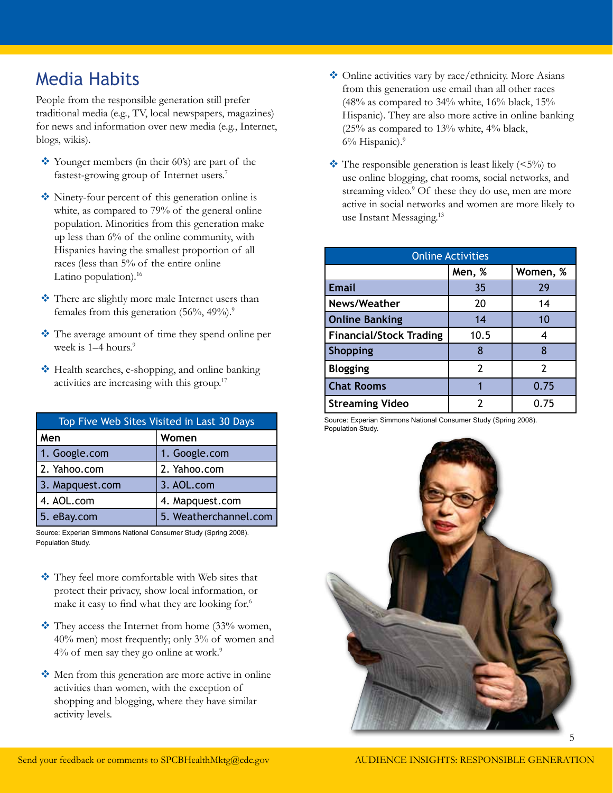## Media Habits

People from the responsible generation still prefer traditional media (e.g., TV, local newspapers, magazines) for news and information over new media (e.g., Internet, blogs, wikis).

- Younger members (in their 60's) are part of the fastest-growing group of Internet users.<sup>[7](#page-6-0)</sup>
- Ninety-four percent of this generation online is white, as compared to 79% of the general online population. Minorities from this generation make up less than 6% of the online community, with Hispanics having the smallest proportion of all races (less than 5% of the entire online Latino population).<sup>16</sup>
- \* There are slightly more male Internet users than females from this generation  $(56\%, 49\%)$  $(56\%, 49\%)$  $(56\%, 49\%)$ .<sup>9</sup>
- \* The average amount of time they spend online per week is 1–4 hours.<sup>9</sup>
- ◆ Health searches, e-shopping, and online banking activities are increasing with this group[.17](#page-6-0)

| Top Five Web Sites Visited in Last 30 Days |                       |  |  |
|--------------------------------------------|-----------------------|--|--|
| Men                                        | Women                 |  |  |
| 1. Google.com                              | 1. Google.com         |  |  |
| 2. Yahoo.com                               | 2. Yahoo.com          |  |  |
| 3. Mapquest.com                            | 3. AOL.com            |  |  |
| 4. AOL.com                                 | 4. Mapquest.com       |  |  |
| 5. eBay.com                                | 5. Weatherchannel.com |  |  |

Source: Experian Simmons National Consumer Study (Spring 2008). Population Study.

- They feel more comfortable with Web sites that protect their privacy, show local information, or make it easy to find what they are looking for.[6](#page-6-0)
- $\cdot$  They access the Internet from home (33% women, 40% men) most frequently; only 3% of women and  $4\%$  of men say they go online at work.<sup>9</sup>
- Men from this generation are more active in online activities than women, with the exception of shopping and blogging, where they have similar activity levels.
- Online activities vary by race/ethnicity. More Asians from this generation use email than all other races  $(48\%$  as compared to 34% white, 16% black, 15% Hispanic). They are also more active in online banking  $(25\%$  as compared to  $13\%$  white,  $4\%$  black, 6% Hispanic)[.9](#page-6-0)
- $\cdot$  The responsible generation is least likely (<5%) to use online blogging, chat rooms, social networks, and streaming video.<sup>9</sup> Of these they do use, men are more active in social networks and women are more likely to use Instant Messaging.<sup>[13](#page-6-0)</sup>

| <b>Online Activities</b>       |                |          |  |  |
|--------------------------------|----------------|----------|--|--|
|                                | Men, %         | Women, % |  |  |
| <b>Email</b>                   | 35             | 29       |  |  |
| News/Weather                   | 20             | 14       |  |  |
| <b>Online Banking</b>          | 14             | 10       |  |  |
| <b>Financial/Stock Trading</b> | 10.5           | 4        |  |  |
| <b>Shopping</b>                | 8              | 8        |  |  |
| <b>Blogging</b>                | $\overline{2}$ | 2        |  |  |
| <b>Chat Rooms</b>              |                | 0.75     |  |  |
| <b>Streaming Video</b>         |                | 0.75     |  |  |

Source: Experian Simmons National Consumer Study (Spring 2008). Population Study.



5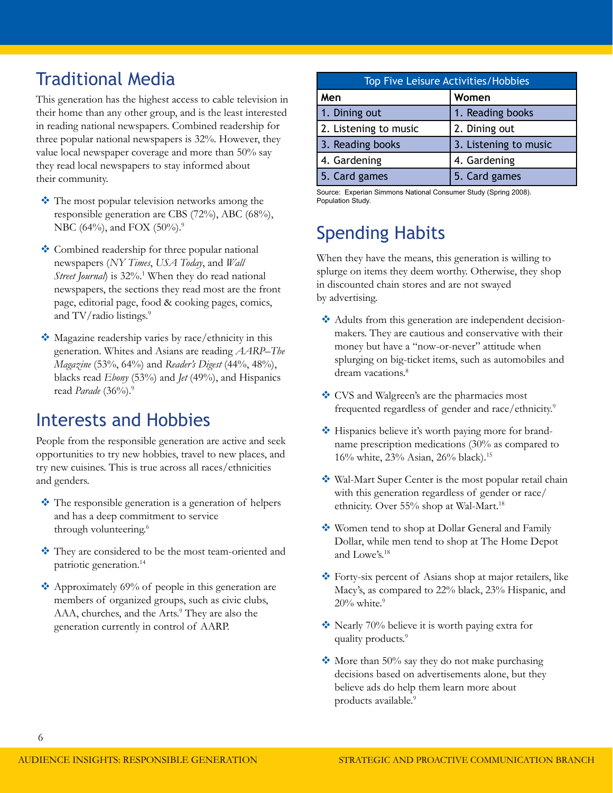## Traditional Media

This generation has the highest access to cable television in their home than any other group, and is the least interested in reading national newspapers. Combined readership for three popular national newspapers is 32%. However, they value local newspaper coverage and more than 50% say they read local newspapers to stay informed about their community.

- The most popular television networks among the responsible generation are CBS (72%), ABC (68%), NBC (64%), and FOX (50%).<sup>[9](#page-6-0)</sup>
- ◆ Combined readership for three popular national newspapers (*NY Times*, *USA Today*, and *Wall*  Street Journal) is 32%.<sup>[1](#page-6-0)</sup> When they do read national newspapers, the sections they read most are the front page, editorial page, food & cooking pages, comics, and TV/radio listings.<sup>[9](#page-6-0)</sup>
- Magazine readership varies by race/ethnicity in this generation. Whites and Asians are reading *AARP–The Magazine* (53%, 64%) and *Reader's Digest* (44%, 48%), blacks read *Ebony* (53%) and *Jet* (49%), and Hispanics read *Parade* (36%).<sup>9</sup>

#### Interests and Hobbies

People from the responsible generation are active and seek opportunities to try new hobbies, travel to new places, and try new cuisines. This is true across all races/ethnicities and genders.

- The responsible generation is a generation of helpers and has a deep commitment to service through volunteering.<sup>[6](#page-6-0)</sup>
- \* They are considered to be the most team-oriented and patriotic generation.<sup>[14](#page-6-0)</sup>
- $\triangle$  Approximately 69% of people in this generation are members of organized groups, such as civic clubs, AAA, churches, and the Arts.<sup>9</sup> They are also the generation currently in control of AARP.

| Top Five Leisure Activities/Hobbies |                       |  |  |
|-------------------------------------|-----------------------|--|--|
| Men                                 | Women                 |  |  |
| 1. Dining out                       | 1. Reading books      |  |  |
| 2. Listening to music               | 2. Dining out         |  |  |
| 3. Reading books                    | 3. Listening to music |  |  |
| 4. Gardening                        | 4. Gardening          |  |  |
| 5. Card games                       | 5. Card games         |  |  |

Source: Experian Simmons National Consumer Study (Spring 2008). Population Study.

## Spending Habits

When they have the means, this generation is willing to splurge on items they deem worthy. Otherwise, they shop in discounted chain stores and are not swayed by advertising.

- Adults from this generation are independent decisionmakers. They are cautious and conservative with their money but have a "now-or-never" attitude when splurging on big-ticket items, such as automobiles and dream vacations.<sup>8</sup>
- ◆ CVS and Walgreen's are the pharmacies most frequented regardless of gender and race/ethnicity.<sup>[9](#page-6-0)</sup>
- ❖ Hispanics believe it's worth paying more for brandname prescription medications (30% as compared to 16% white, 23% Asian, 26% black).[15](#page-6-0)
- Wal-Mart Super Center is the most popular retail chain with this generation regardless of gender or race/ ethnicity. Over 55% shop at Wal-Mart.<sup>18</sup>
- ◆ Women tend to shop at Dollar General and Family Dollar, while men tend to shop at The Home Depot and Lowe's.[18](#page-6-0)
- Forty-six percent of Asians shop at major retailers, like Macy's, as compared to 22% black, 23% Hispanic, and  $20\%$  white.<sup>[9](#page-6-0)</sup>
- ◆ Nearly 70% believe it is worth paying extra for quality products.<sup>[9](#page-6-0)</sup>
- $\cdot$  More than 50% say they do not make purchasing decisions based on advertisements alone, but they believe ads do help them learn more about products available.<sup>[9](#page-6-0)</sup>

6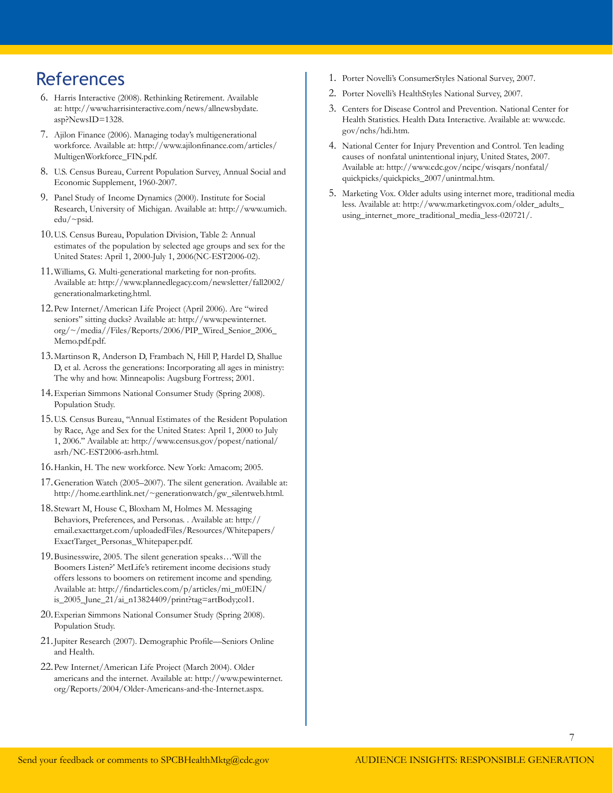#### <span id="page-6-0"></span>**References**

- 6. Harris Interactive (2008). Rethinking Retirement. Available at: [http://www.harrisinteractive.com/news/allnewsbydate.](http://www.harrisinteractive.com/news/allnewsbydate.asp?NewsID=1328) [asp?NewsID=1328](http://www.harrisinteractive.com/news/allnewsbydate.asp?NewsID=1328).
- 7. Ajilon Finance (2006). Managing today's multigenerational workforce. Available at: [http://www.ajilonfinance.com/articles/](http://www.ajilonfinance.com/articles/MultigenWorkforce_FIN.pdf) [MultigenWorkforce\\_FIN.pdf](http://www.ajilonfinance.com/articles/MultigenWorkforce_FIN.pdf).
- 8. U.S. Census Bureau, Current Population Survey, Annual Social and Economic Supplement, 1960-2007.
- 9. Panel Study of Income Dynamics (2000). Institute for Social Research, University of Michigan. Available at: [http://www.umich.](http://www.umich.edu/~psid) [edu/~psid](http://www.umich.edu/~psid).
- 10.U.S. Census Bureau, Population Division, Table 2: Annual estimates of the population by selected age groups and sex for the United States: April 1, 2000-July 1, 2006(NC-EST2006-02).
- 11.Williams, G. Multi-generational marketing for non-profits. Available at: [http://www.plannedlegacy.com/newsletter/fall2002/](http://www.plannedlegacy.com/newsletter/fall2002/generationalmarketing.html) [generationalmarketing.html](http://www.plannedlegacy.com/newsletter/fall2002/generationalmarketing.html).
- 12.Pew Internet/American Life Project (April 2006). Are "wired seniors" sitting ducks? Available at: [http://www.pewinternet.](http://www.pewinternet.org/~/media//Files/Reports/2006/PIP_Wired_Senior_2006_Memo.pdf.pdf) [org/~/media//Files/Reports/2006/PIP\\_Wired\\_Senior\\_2006\\_](http://www.pewinternet.org/~/media//Files/Reports/2006/PIP_Wired_Senior_2006_Memo.pdf.pdf) [Memo.pdf.pdf.](http://www.pewinternet.org/~/media//Files/Reports/2006/PIP_Wired_Senior_2006_Memo.pdf.pdf)
- 13.Martinson R, Anderson D, Frambach N, Hill P, Hardel D, Shallue D, et al. Across the generations: Incorporating all ages in ministry: The why and how. Minneapolis: Augsburg Fortress; 2001.
- 14.Experian Simmons National Consumer Study (Spring 2008). Population Study.
- 15.U.S. Census Bureau, ''Annual Estimates of the Resident Population by Race, Age and Sex for the United States: April 1, 2000 to July 1, 2006.'' Available at: [http://www.census.gov/popest/national/](http://www.census.gov/popest/national/asrh/NC-EST2006-asrh.html) [asrh/NC-EST2006-asrh.html](http://www.census.gov/popest/national/asrh/NC-EST2006-asrh.html).
- 16.Hankin, H. The new workforce. New York: Amacom; 2005.
- 17.Generation Watch (2005–2007). The silent generation. Available at: [http://home.earthlink.net/~generationwatch/gw\\_silentweb.html](http://home.earthlink.net/~generationwatch/gw_silentweb.html).
- 18.Stewart M, House C, Bloxham M, Holmes M. Messaging Behaviors, Preferences, and Personas. . Available at: [http://](http://email.exacttarget.com/uploadedFiles/Resources/Whitepapers/ExactTarget_Personas_Whitepaper.pdf) [email.exacttarget.com/uploadedFiles/Resources/Whitepapers/](http://email.exacttarget.com/uploadedFiles/Resources/Whitepapers/ExactTarget_Personas_Whitepaper.pdf) [ExactTarget\\_Personas\\_Whitepaper.pdf.](http://email.exacttarget.com/uploadedFiles/Resources/Whitepapers/ExactTarget_Personas_Whitepaper.pdf)
- 19.Businesswire, 2005. The silent generation speaks…'Will the Boomers Listen?' MetLife's retirement income decisions study offers lessons to boomers on retirement income and spending. Available at: [http://findarticles.com/p/articles/mi\\_m0EIN/](http://findarticles.com/p/articles/mi_m0EIN/is_2005_June_21/ai_n13824409/print?tag=artBody;col1) [is\\_2005\\_June\\_21/ai\\_n13824409/print?tag=artBody;col1](http://findarticles.com/p/articles/mi_m0EIN/is_2005_June_21/ai_n13824409/print?tag=artBody;col1).
- 20.Experian Simmons National Consumer Study (Spring 2008). Population Study.
- 21.Jupiter Research (2007). Demographic Profile—Seniors Online and Health.
- 22.Pew Internet/American Life Project (March 2004). Older americans and the internet. Available at: [http://www.pewinternet.](http://www.pewinternet.org/Reports/2004/Older-Americans-and-the-Internet.aspx) [org/Reports/2004/Older-Americans-and-the-Internet.aspx](http://www.pewinternet.org/Reports/2004/Older-Americans-and-the-Internet.aspx).
- 1. Porter Novelli's ConsumerStyles National Survey, 2007.
- 2. Porter Novelli's HealthStyles National Survey, 2007.
- 3. Centers for Disease Control and Prevention. National Center for Health Statistics. Health Data Interactive. Available at: [www.cdc.](www.cdc.gov/nchs/hdi.htm) [gov/nchs/hdi.htm](www.cdc.gov/nchs/hdi.htm).
- 4. National Center for Injury Prevention and Control. Ten leading causes of nonfatal unintentional injury, United States, 2007. Available at: [http://www.cdc.gov/ncipc/wisqars/nonfatal/](http://www.cdc.gov/ncipc/wisqars/nonfatal/quickpicks/quickpicks_2007/unintmal.htm) [quickpicks/quickpicks\\_2007/unintmal.htm](http://www.cdc.gov/ncipc/wisqars/nonfatal/quickpicks/quickpicks_2007/unintmal.htm).
- 5. Marketing Vox. Older adults using internet more, traditional media less. Available at: [http://www.marketingvox.com/older\\_adults\\_](http://www.marketingvox.com/older_adults_using_internet_more_traditional_media_less-020721/) [using\\_internet\\_more\\_traditional\\_media\\_less-020721/](http://www.marketingvox.com/older_adults_using_internet_more_traditional_media_less-020721/).